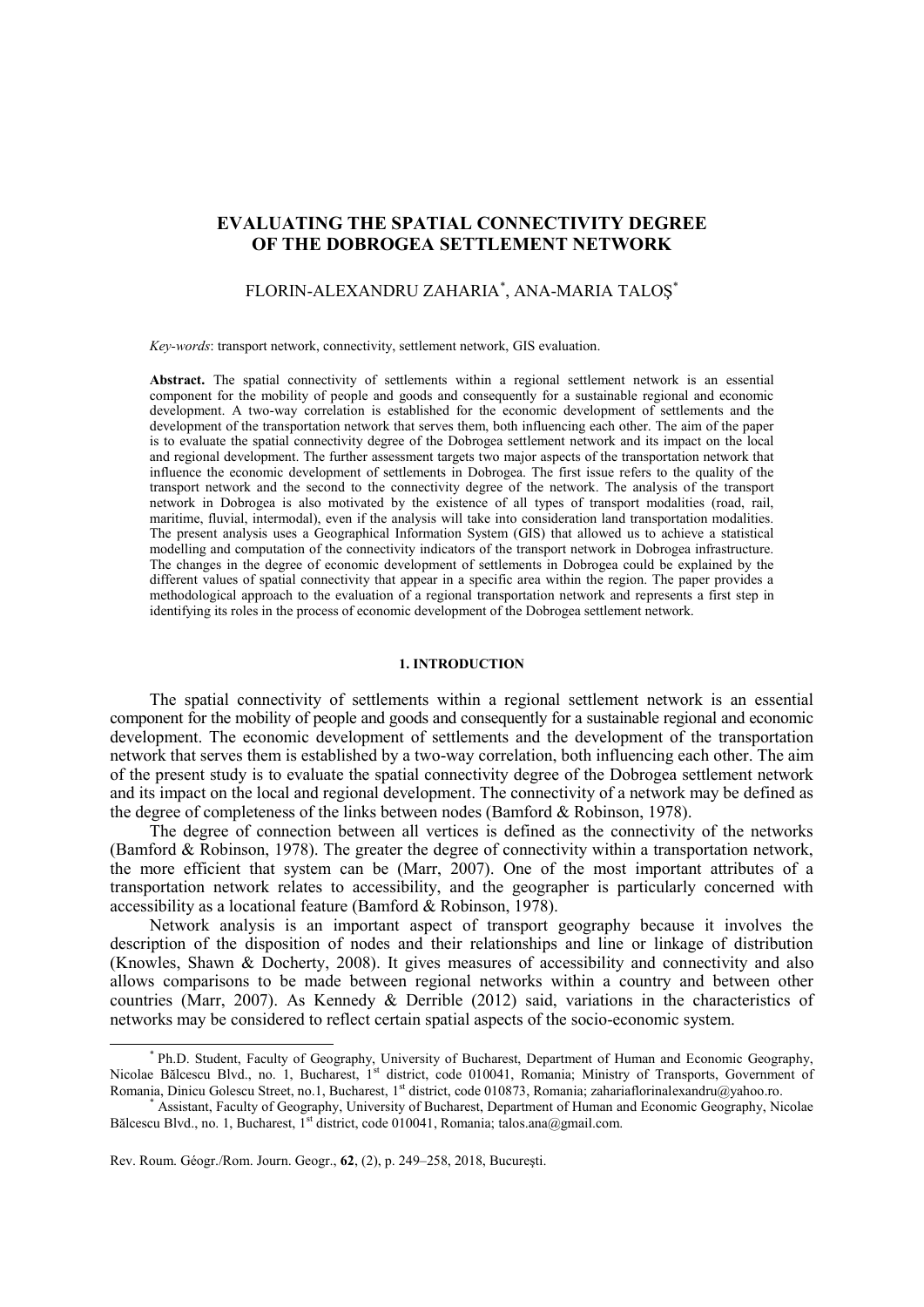## **EVALUATING THE SPATIAL CONNECTIVITY DEGREE OF THE DOBROGEA SETTLEMENT NETWORK**

# FLORIN-ALEXANDRU ZAHARIA\* , ANA-MARIA TALOŞ\*

*Key-words*: transport network, connectivity, settlement network, GIS evaluation.

Abstract. The spatial connectivity of settlements within a regional settlement network is an essential component for the mobility of people and goods and consequently for a sustainable regional and economic development. A two-way correlation is established for the economic development of settlements and the development of the transportation network that serves them, both influencing each other. The aim of the paper is to evaluate the spatial connectivity degree of the Dobrogea settlement network and its impact on the local and regional development. The further assessment targets two major aspects of the transportation network that influence the economic development of settlements in Dobrogea. The first issue refers to the quality of the transport network and the second to the connectivity degree of the network. The analysis of the transport network in Dobrogea is also motivated by the existence of all types of transport modalities (road, rail, maritime, fluvial, intermodal), even if the analysis will take into consideration land transportation modalities. The present analysis uses a Geographical Information System (GIS) that allowed us to achieve a statistical modelling and computation of the connectivity indicators of the transport network in Dobrogea infrastructure. The changes in the degree of economic development of settlements in Dobrogea could be explained by the different values of spatial connectivity that appear in a specific area within the region. The paper provides a methodological approach to the evaluation of a regional transportation network and represents a first step in identifying its roles in the process of economic development of the Dobrogea settlement network.

### **1. INTRODUCTION**

The spatial connectivity of settlements within a regional settlement network is an essential component for the mobility of people and goods and consequently for a sustainable regional and economic development. The economic development of settlements and the development of the transportation network that serves them is established by a two-way correlation, both influencing each other. The aim of the present study is to evaluate the spatial connectivity degree of the Dobrogea settlement network and its impact on the local and regional development. The connectivity of a network may be defined as the degree of completeness of the links between nodes (Bamford & Robinson, 1978).

The degree of connection between all vertices is defined as the connectivity of the networks (Bamford & Robinson, 1978). The greater the degree of connectivity within a transportation network, the more efficient that system can be (Marr, 2007). One of the most important attributes of a transportation network relates to accessibility, and the geographer is particularly concerned with accessibility as a locational feature (Bamford & Robinson, 1978).

Network analysis is an important aspect of transport geography because it involves the description of the disposition of nodes and their relationships and line or linkage of distribution (Knowles, Shawn & Docherty, 2008). It gives measures of accessibility and connectivity and also allows comparisons to be made between regional networks within a country and between other countries (Marr, 2007). As Kennedy & Derrible (2012) said, variations in the characteristics of networks may be considered to reflect certain spatial aspects of the socio-economic system.

Rev. Roum. Géogr./Rom. Journ. Geogr., **62**, (2), p. 249–258, 2018, Bucureşti.

 $\overline{a}$ 

<sup>\*</sup> Ph.D. Student, Faculty of Geography, University of Bucharest, Department of Human and Economic Geography, Nicolae Bălcescu Blvd., no. 1, Bucharest, 1<sup>st</sup> district, code 010041, Romania; Ministry of Transports, Government of Romania, Dinicu Golescu Street, no.1, Bucharest, 1<sup>st</sup> district, code 010873, Romania; zahariaflorinalexandru@yahoo.ro.

Assistant, Faculty of Geography, University of Bucharest, Department of Human and Economic Geography, Nicolae Bălcescu Blvd., no. 1, Bucharest, 1<sup>st</sup> district, code 010041, Romania; talos.ana@gmail.com.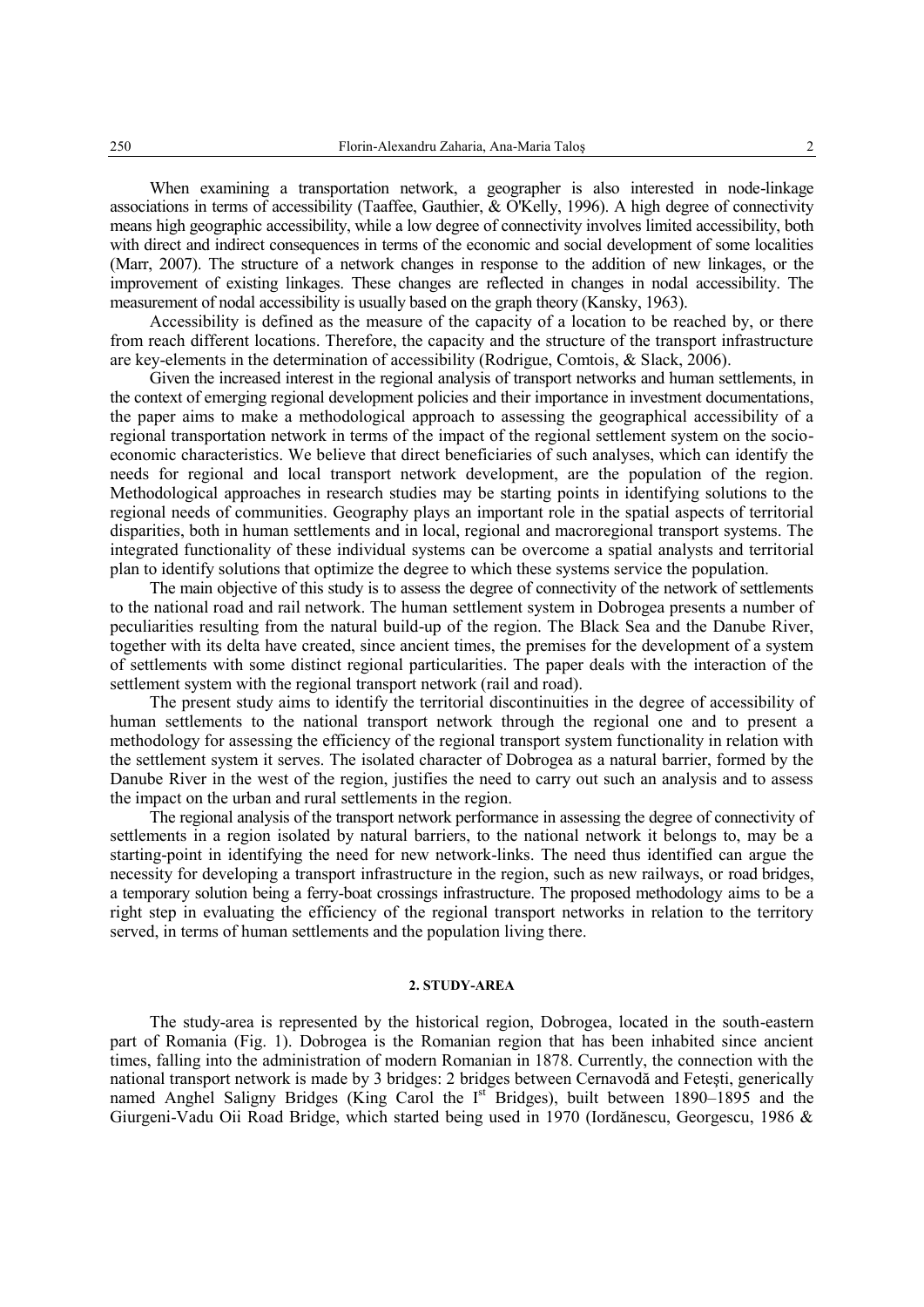When examining a transportation network, a geographer is also interested in node-linkage associations in terms of accessibility (Taaffee, Gauthier, & O'Kelly, 1996). A high degree of connectivity means high geographic accessibility, while a low degree of connectivity involves limited accessibility, both with direct and indirect consequences in terms of the economic and social development of some localities (Marr, 2007). The structure of a network changes in response to the addition of new linkages, or the improvement of existing linkages. These changes are reflected in changes in nodal accessibility. The measurement of nodal accessibility is usually based on the graph theory (Kansky, 1963).

Accessibility is defined as the measure of the capacity of a location to be reached by, or there from reach different locations. Therefore, the capacity and the structure of the transport infrastructure are key-elements in the determination of accessibility (Rodrigue, Comtois, & Slack, 2006).

Given the increased interest in the regional analysis of transport networks and human settlements, in the context of emerging regional development policies and their importance in investment documentations, the paper aims to make a methodological approach to assessing the geographical accessibility of a regional transportation network in terms of the impact of the regional settlement system on the socioeconomic characteristics. We believe that direct beneficiaries of such analyses, which can identify the needs for regional and local transport network development, are the population of the region. Methodological approaches in research studies may be starting points in identifying solutions to the regional needs of communities. Geography plays an important role in the spatial aspects of territorial disparities, both in human settlements and in local, regional and macroregional transport systems. The integrated functionality of these individual systems can be overcome a spatial analysts and territorial plan to identify solutions that optimize the degree to which these systems service the population.

The main objective of this study is to assess the degree of connectivity of the network of settlements to the national road and rail network. The human settlement system in Dobrogea presents a number of peculiarities resulting from the natural build-up of the region. The Black Sea and the Danube River, together with its delta have created, since ancient times, the premises for the development of a system of settlements with some distinct regional particularities. The paper deals with the interaction of the settlement system with the regional transport network (rail and road).

The present study aims to identify the territorial discontinuities in the degree of accessibility of human settlements to the national transport network through the regional one and to present a methodology for assessing the efficiency of the regional transport system functionality in relation with the settlement system it serves. The isolated character of Dobrogea as a natural barrier, formed by the Danube River in the west of the region, justifies the need to carry out such an analysis and to assess the impact on the urban and rural settlements in the region.

The regional analysis of the transport network performance in assessing the degree of connectivity of settlements in a region isolated by natural barriers, to the national network it belongs to, may be a starting-point in identifying the need for new network-links. The need thus identified can argue the necessity for developing a transport infrastructure in the region, such as new railways, or road bridges, a temporary solution being a ferry-boat crossings infrastructure. The proposed methodology aims to be a right step in evaluating the efficiency of the regional transport networks in relation to the territory served, in terms of human settlements and the population living there.

### **2. STUDY-AREA**

The study-area is represented by the historical region, Dobrogea, located in the south-eastern part of Romania (Fig. 1). Dobrogea is the Romanian region that has been inhabited since ancient times, falling into the administration of modern Romanian in 1878. Currently, the connection with the national transport network is made by 3 bridges: 2 bridges between Cernavodă and Feteşti, generically named Anghel Saligny Bridges (King Carol the I<sup>st</sup> Bridges), built between 1890–1895 and the Giurgeni-Vadu Oii Road Bridge, which started being used in 1970 (Iordănescu, Georgescu, 1986 &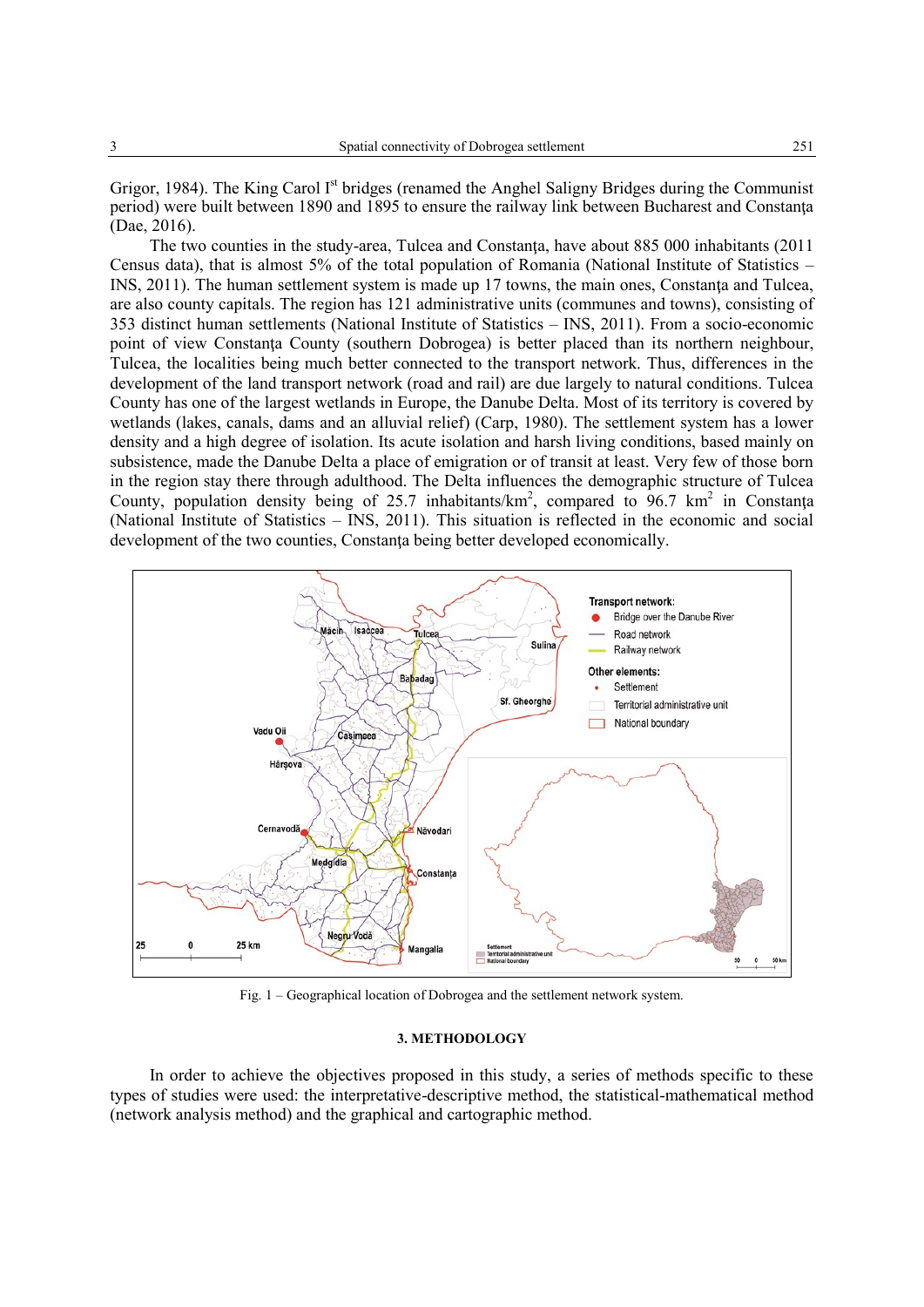Grigor, 1984). The King Carol I<sup>st</sup> bridges (renamed the Anghel Saligny Bridges during the Communist period) were built between 1890 and 1895 to ensure the railway link between Bucharest and Constanţa (Dae, 2016).

The two counties in the study-area, Tulcea and Constanţa, have about 885 000 inhabitants (2011 Census data), that is almost 5% of the total population of Romania (National Institute of Statistics – INS, 2011). The human settlement system is made up 17 towns, the main ones, Constanţa and Tulcea, are also county capitals. The region has 121 administrative units (communes and towns), consisting of 353 distinct human settlements (National Institute of Statistics – INS, 2011). From a socio-economic point of view Constanta County (southern Dobrogea) is better placed than its northern neighbour, Tulcea, the localities being much better connected to the transport network. Thus, differences in the development of the land transport network (road and rail) are due largely to natural conditions. Tulcea County has one of the largest wetlands in Europe, the Danube Delta. Most of its territory is covered by wetlands (lakes, canals, dams and an alluvial relief) (Carp, 1980). The settlement system has a lower density and a high degree of isolation. Its acute isolation and harsh living conditions, based mainly on subsistence, made the Danube Delta a place of emigration or of transit at least. Very few of those born in the region stay there through adulthood. The Delta influences the demographic structure of Tulcea County, population density being of 25.7 inhabitants/ $km^2$ , compared to 96.7 km<sup>2</sup> in Constanta (National Institute of Statistics – INS, 2011). This situation is reflected in the economic and social development of the two counties, Constanta being better developed economically.



Fig. 1 – Geographical location of Dobrogea and the settlement network system.

### **3. METHODOLOGY**

In order to achieve the objectives proposed in this study, a series of methods specific to these types of studies were used: the interpretative-descriptive method, the statistical-mathematical method (network analysis method) and the graphical and cartographic method.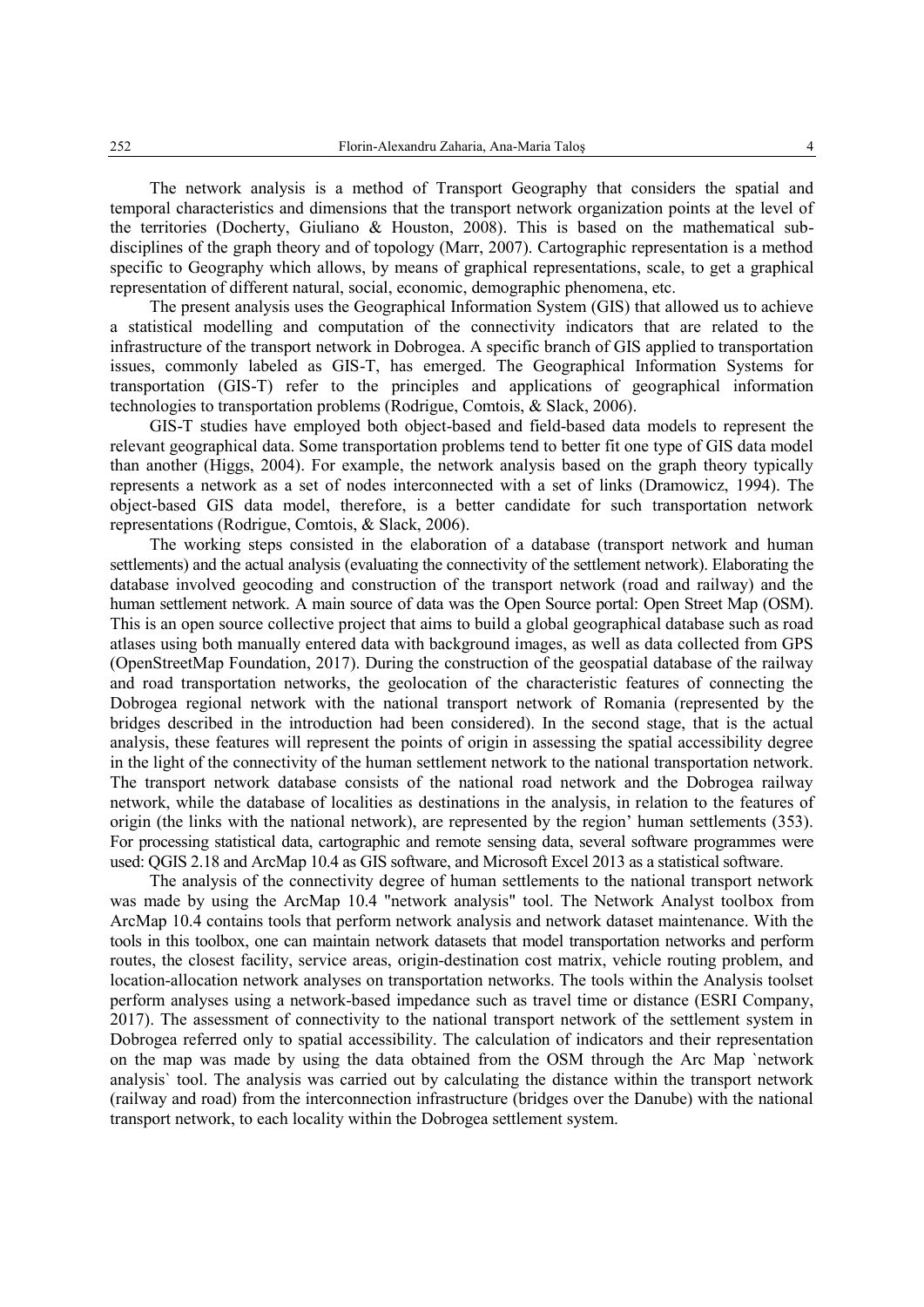The network analysis is a method of Transport Geography that considers the spatial and temporal characteristics and dimensions that the transport network organization points at the level of the territories (Docherty, Giuliano & Houston, 2008). This is based on the mathematical subdisciplines of the graph theory and of topology (Marr, 2007). Cartographic representation is a method specific to Geography which allows, by means of graphical representations, scale, to get a graphical representation of different natural, social, economic, demographic phenomena, etc.

The present analysis uses the Geographical Information System (GIS) that allowed us to achieve a statistical modelling and computation of the connectivity indicators that are related to the infrastructure of the transport network in Dobrogea. A specific branch of GIS applied to transportation issues, commonly labeled as GIS-T, has emerged. The Geographical Information Systems for transportation (GIS-T) refer to the principles and applications of geographical information technologies to transportation problems (Rodrigue, Comtois, & Slack, 2006).

GIS-T studies have employed both object-based and field-based data models to represent the relevant geographical data. Some transportation problems tend to better fit one type of GIS data model than another (Higgs, 2004). For example, the network analysis based on the graph theory typically represents a network as a set of nodes interconnected with a set of links (Dramowicz, 1994). The object-based GIS data model, therefore, is a better candidate for such transportation network representations (Rodrigue, Comtois, & Slack, 2006).

The working steps consisted in the elaboration of a database (transport network and human settlements) and the actual analysis (evaluating the connectivity of the settlement network). Elaborating the database involved geocoding and construction of the transport network (road and railway) and the human settlement network. A main source of data was the Open Source portal: Open Street Map (OSM). This is an open source collective project that aims to build a global geographical database such as road atlases using both manually entered data with background images, as well as data collected from GPS (OpenStreetMap Foundation, 2017). During the construction of the geospatial database of the railway and road transportation networks, the geolocation of the characteristic features of connecting the Dobrogea regional network with the national transport network of Romania (represented by the bridges described in the introduction had been considered). In the second stage, that is the actual analysis, these features will represent the points of origin in assessing the spatial accessibility degree in the light of the connectivity of the human settlement network to the national transportation network. The transport network database consists of the national road network and the Dobrogea railway network, while the database of localities as destinations in the analysis, in relation to the features of origin (the links with the national network), are represented by the region' human settlements (353). For processing statistical data, cartographic and remote sensing data, several software programmes were used: QGIS 2.18 and ArcMap 10.4 as GIS software, and Microsoft Excel 2013 as a statistical software.

The analysis of the connectivity degree of human settlements to the national transport network was made by using the ArcMap 10.4 "network analysis" tool. The Network Analyst toolbox from ArcMap 10.4 contains tools that perform network analysis and network dataset maintenance. With the tools in this toolbox, one can maintain network datasets that model transportation networks and perform routes, the closest facility, service areas, origin-destination cost matrix, vehicle routing problem, and location-allocation network analyses on transportation networks. The tools within the Analysis toolset perform analyses using a network-based impedance such as travel time or distance (ESRI Company, 2017). The assessment of connectivity to the national transport network of the settlement system in Dobrogea referred only to spatial accessibility. The calculation of indicators and their representation on the map was made by using the data obtained from the OSM through the Arc Map `network analysis` tool. The analysis was carried out by calculating the distance within the transport network (railway and road) from the interconnection infrastructure (bridges over the Danube) with the national transport network, to each locality within the Dobrogea settlement system.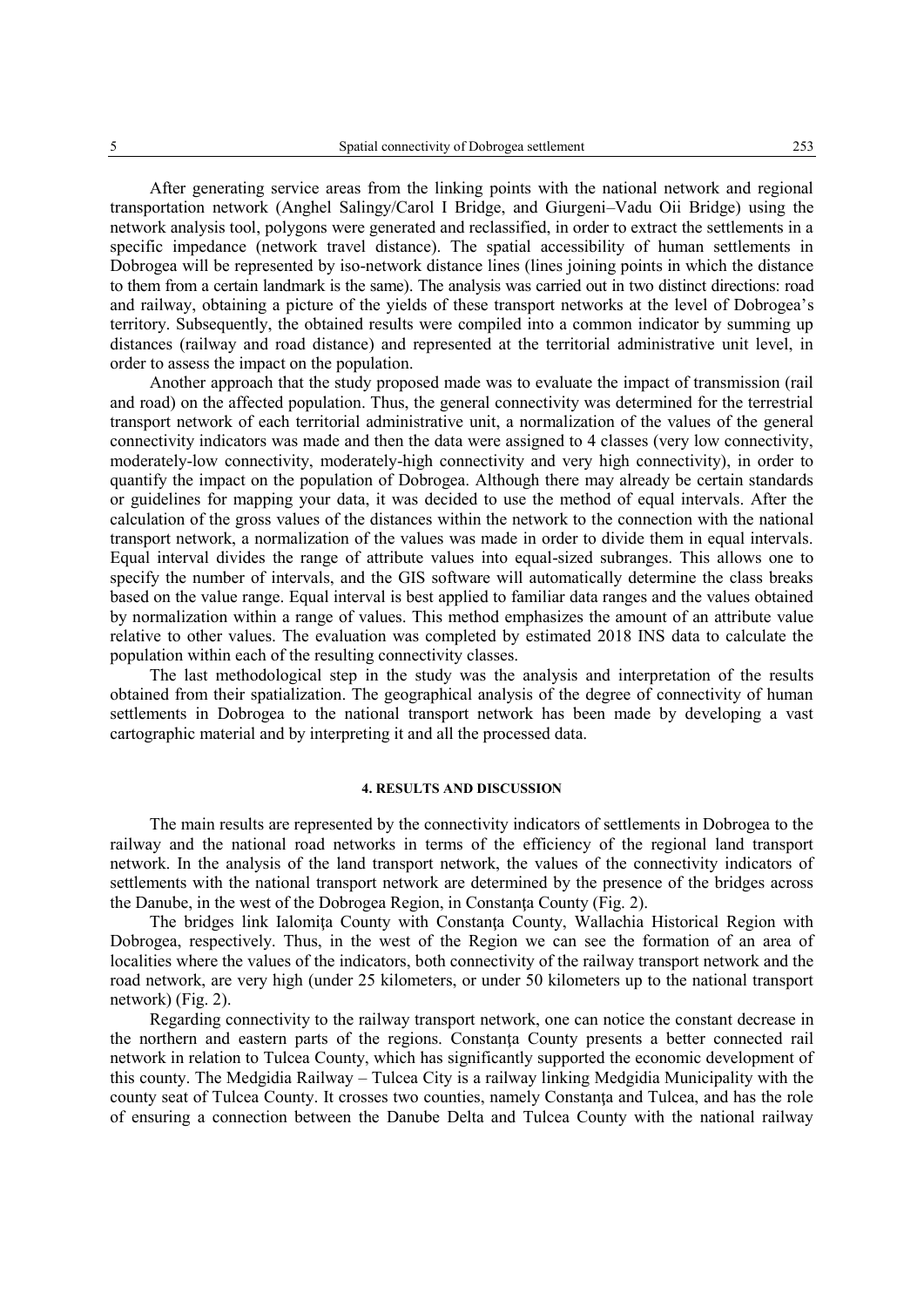After generating service areas from the linking points with the national network and regional transportation network (Anghel Salingy/Carol I Bridge, and Giurgeni–Vadu Oii Bridge) using the network analysis tool, polygons were generated and reclassified, in order to extract the settlements in a specific impedance (network travel distance). The spatial accessibility of human settlements in Dobrogea will be represented by iso-network distance lines (lines joining points in which the distance to them from a certain landmark is the same). The analysis was carried out in two distinct directions: road and railway, obtaining a picture of the yields of these transport networks at the level of Dobrogea's territory. Subsequently, the obtained results were compiled into a common indicator by summing up distances (railway and road distance) and represented at the territorial administrative unit level, in order to assess the impact on the population.

Another approach that the study proposed made was to evaluate the impact of transmission (rail and road) on the affected population. Thus, the general connectivity was determined for the terrestrial transport network of each territorial administrative unit, a normalization of the values of the general connectivity indicators was made and then the data were assigned to 4 classes (very low connectivity, moderately-low connectivity, moderately-high connectivity and very high connectivity), in order to quantify the impact on the population of Dobrogea. Although there may already be certain standards or guidelines for mapping your data, it was decided to use the method of equal intervals. After the calculation of the gross values of the distances within the network to the connection with the national transport network, a normalization of the values was made in order to divide them in equal intervals. Equal interval divides the range of attribute values into equal-sized subranges. This allows one to specify the number of intervals, and the GIS software will automatically determine the class breaks based on the value range. Equal interval is best applied to familiar data ranges and the values obtained by normalization within a range of values. This method emphasizes the amount of an attribute value relative to other values. The evaluation was completed by estimated 2018 INS data to calculate the population within each of the resulting connectivity classes.

The last methodological step in the study was the analysis and interpretation of the results obtained from their spatialization. The geographical analysis of the degree of connectivity of human settlements in Dobrogea to the national transport network has been made by developing a vast cartographic material and by interpreting it and all the processed data.

### **4. RESULTS AND DISCUSSION**

The main results are represented by the connectivity indicators of settlements in Dobrogea to the railway and the national road networks in terms of the efficiency of the regional land transport network. In the analysis of the land transport network, the values of the connectivity indicators of settlements with the national transport network are determined by the presence of the bridges across the Danube, in the west of the Dobrogea Region, in Constanţa County (Fig. 2).

The bridges link Ialomita County with Constanta County, Wallachia Historical Region with Dobrogea, respectively. Thus, in the west of the Region we can see the formation of an area of localities where the values of the indicators, both connectivity of the railway transport network and the road network, are very high (under 25 kilometers, or under 50 kilometers up to the national transport network) (Fig. 2).

Regarding connectivity to the railway transport network, one can notice the constant decrease in the northern and eastern parts of the regions. Constanta County presents a better connected rail network in relation to Tulcea County, which has significantly supported the economic development of this county. The Medgidia Railway – Tulcea City is a railway linking Medgidia Municipality with the county seat of Tulcea County. It crosses two counties, namely Constanta and Tulcea, and has the role of ensuring a connection between the Danube Delta and Tulcea County with the national railway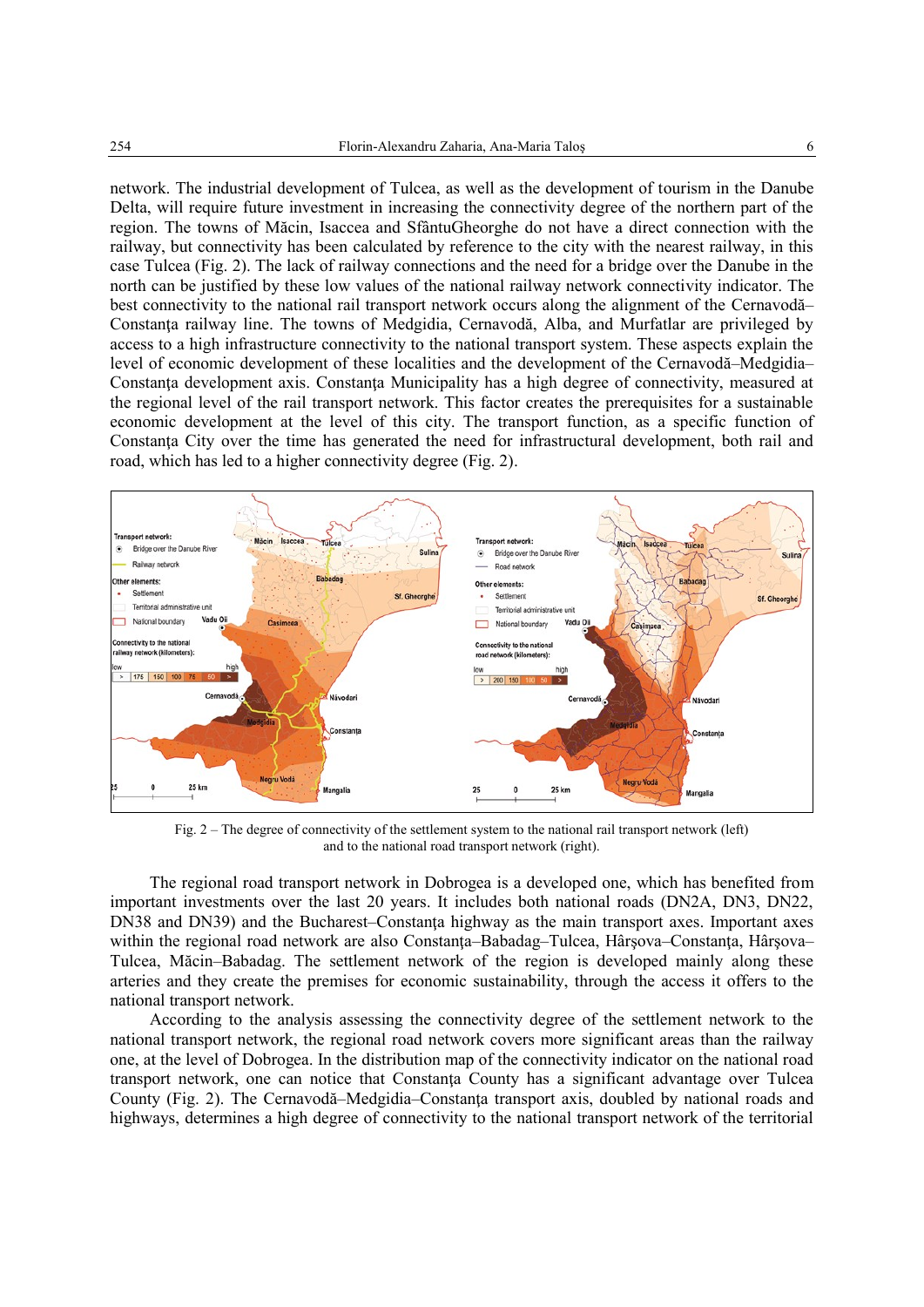network. The industrial development of Tulcea, as well as the development of tourism in the Danube Delta, will require future investment in increasing the connectivity degree of the northern part of the region. The towns of Măcin, Isaccea and SfântuGheorghe do not have a direct connection with the railway, but connectivity has been calculated by reference to the city with the nearest railway, in this case Tulcea (Fig. 2). The lack of railway connections and the need for a bridge over the Danube in the north can be justified by these low values of the national railway network connectivity indicator. The best connectivity to the national rail transport network occurs along the alignment of the Cernavodă– Constanţa railway line. The towns of Medgidia, Cernavodă, Alba, and Murfatlar are privileged by access to a high infrastructure connectivity to the national transport system. These aspects explain the level of economic development of these localities and the development of the Cernavodă–Medgidia– Constanţa development axis. Constanţa Municipality has a high degree of connectivity, measured at the regional level of the rail transport network. This factor creates the prerequisites for a sustainable economic development at the level of this city. The transport function, as a specific function of Constanţa City over the time has generated the need for infrastructural development, both rail and road, which has led to a higher connectivity degree (Fig. 2).



Fig. 2 – The degree of connectivity of the settlement system to the national rail transport network (left) and to the national road transport network (right).

The regional road transport network in Dobrogea is a developed one, which has benefited from important investments over the last 20 years. It includes both national roads (DN2A, DN3, DN22, DN38 and DN39) and the Bucharest–Constanţa highway as the main transport axes. Important axes within the regional road network are also Constanța–Babadag–Tulcea, Hârșova–Constanța, Hârșova– Tulcea, Măcin–Babadag. The settlement network of the region is developed mainly along these arteries and they create the premises for economic sustainability, through the access it offers to the national transport network.

According to the analysis assessing the connectivity degree of the settlement network to the national transport network, the regional road network covers more significant areas than the railway one, at the level of Dobrogea. In the distribution map of the connectivity indicator on the national road transport network, one can notice that Constanţa County has a significant advantage over Tulcea County (Fig. 2). The Cernavodă–Medgidia–Constanţa transport axis, doubled by national roads and highways, determines a high degree of connectivity to the national transport network of the territorial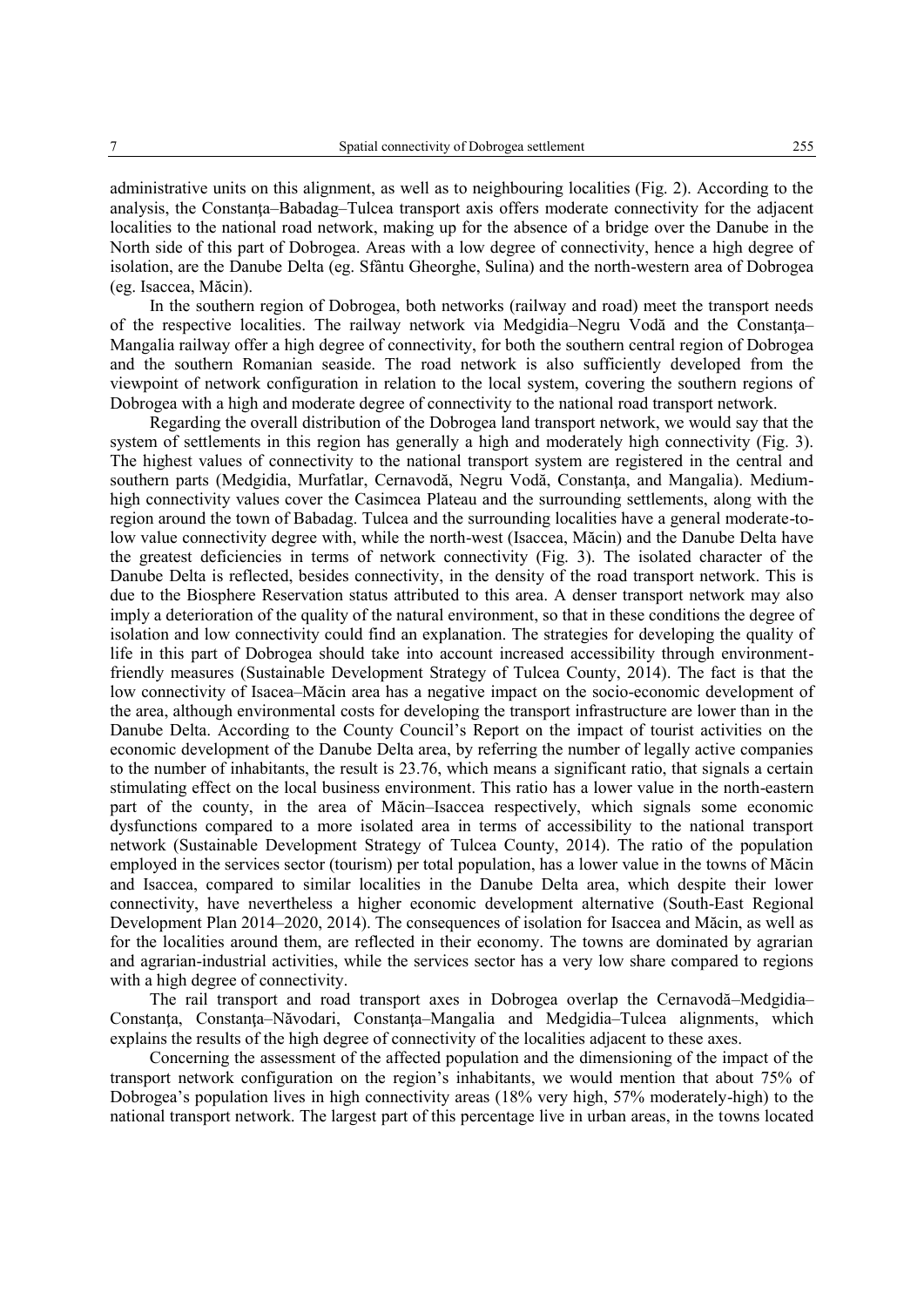administrative units on this alignment, as well as to neighbouring localities (Fig. 2). According to the analysis, the Constanţa–Babadag–Tulcea transport axis offers moderate connectivity for the adjacent localities to the national road network, making up for the absence of a bridge over the Danube in the North side of this part of Dobrogea. Areas with a low degree of connectivity, hence a high degree of isolation, are the Danube Delta (eg. Sfântu Gheorghe, Sulina) and the north-western area of Dobrogea (eg. Isaccea, Măcin).

In the southern region of Dobrogea, both networks (railway and road) meet the transport needs of the respective localities. The railway network via Medgidia–Negru Vodă and the Constanţa– Mangalia railway offer a high degree of connectivity, for both the southern central region of Dobrogea and the southern Romanian seaside. The road network is also sufficiently developed from the viewpoint of network configuration in relation to the local system, covering the southern regions of Dobrogea with a high and moderate degree of connectivity to the national road transport network.

Regarding the overall distribution of the Dobrogea land transport network, we would say that the system of settlements in this region has generally a high and moderately high connectivity (Fig. 3). The highest values of connectivity to the national transport system are registered in the central and southern parts (Medgidia, Murfatlar, Cernavodă, Negru Vodă, Constanţa, and Mangalia). Mediumhigh connectivity values cover the Casimcea Plateau and the surrounding settlements, along with the region around the town of Babadag. Tulcea and the surrounding localities have a general moderate-tolow value connectivity degree with, while the north-west (Isaccea, Măcin) and the Danube Delta have the greatest deficiencies in terms of network connectivity (Fig. 3). The isolated character of the Danube Delta is reflected, besides connectivity, in the density of the road transport network. This is due to the Biosphere Reservation status attributed to this area. A denser transport network may also imply a deterioration of the quality of the natural environment, so that in these conditions the degree of isolation and low connectivity could find an explanation. The strategies for developing the quality of life in this part of Dobrogea should take into account increased accessibility through environmentfriendly measures (Sustainable Development Strategy of Tulcea County, 2014). The fact is that the low connectivity of Isacea–Măcin area has a negative impact on the socio-economic development of the area, although environmental costs for developing the transport infrastructure are lower than in the Danube Delta. According to the County Council's Report on the impact of tourist activities on the economic development of the Danube Delta area, by referring the number of legally active companies to the number of inhabitants, the result is 23.76, which means a significant ratio, that signals a certain stimulating effect on the local business environment. This ratio has a lower value in the north-eastern part of the county, in the area of Măcin–Isaccea respectively, which signals some economic dysfunctions compared to a more isolated area in terms of accessibility to the national transport network (Sustainable Development Strategy of Tulcea County, 2014). The ratio of the population employed in the services sector (tourism) per total population, has a lower value in the towns of Măcin and Isaccea, compared to similar localities in the Danube Delta area, which despite their lower connectivity, have nevertheless a higher economic development alternative (South-East Regional Development Plan 2014–2020, 2014). The consequences of isolation for Isaccea and Măcin, as well as for the localities around them, are reflected in their economy. The towns are dominated by agrarian and agrarian-industrial activities, while the services sector has a very low share compared to regions with a high degree of connectivity.

The rail transport and road transport axes in Dobrogea overlap the Cernavodă–Medgidia– Constanţa, Constanţa–Năvodari, Constanţa–Mangalia and Medgidia–Tulcea alignments, which explains the results of the high degree of connectivity of the localities adjacent to these axes.

Concerning the assessment of the affected population and the dimensioning of the impact of the transport network configuration on the region's inhabitants, we would mention that about 75% of Dobrogea's population lives in high connectivity areas (18% very high, 57% moderately-high) to the national transport network. The largest part of this percentage live in urban areas, in the towns located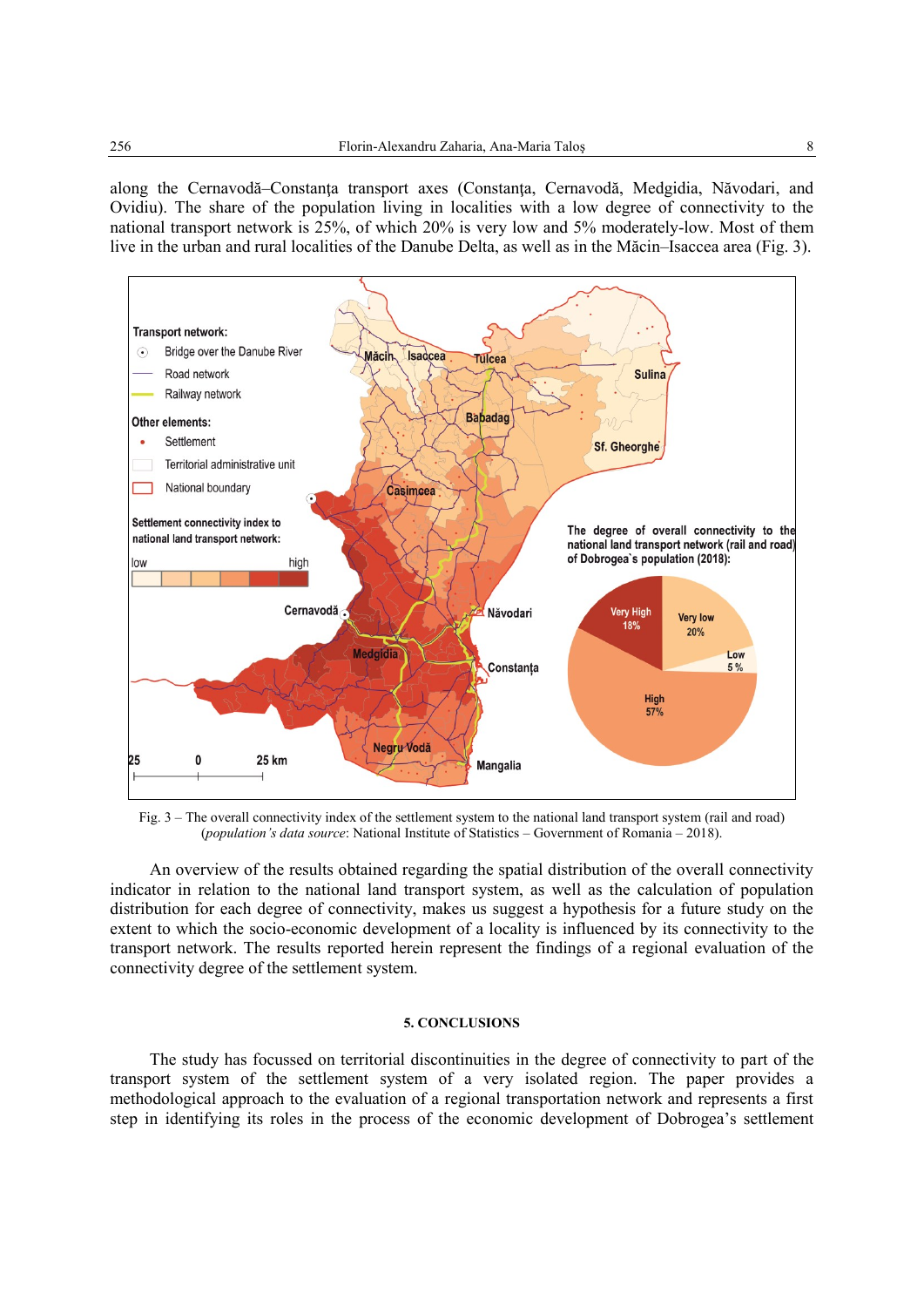along the Cernavodă–Constanţa transport axes (Constanţa, Cernavodă, Medgidia, Năvodari, and Ovidiu). The share of the population living in localities with a low degree of connectivity to the national transport network is 25%, of which 20% is very low and 5% moderately-low. Most of them live in the urban and rural localities of the Danube Delta, as well as in the Măcin–Isaccea area (Fig. 3).



Fig. 3 – The overall connectivity index of the settlement system to the national land transport system (rail and road) (*population's data source*: National Institute of Statistics – Government of Romania – 2018).

An overview of the results obtained regarding the spatial distribution of the overall connectivity indicator in relation to the national land transport system, as well as the calculation of population distribution for each degree of connectivity, makes us suggest a hypothesis for a future study on the extent to which the socio-economic development of a locality is influenced by its connectivity to the transport network. The results reported herein represent the findings of a regional evaluation of the connectivity degree of the settlement system.

#### **5. CONCLUSIONS**

The study has focussed on territorial discontinuities in the degree of connectivity to part of the transport system of the settlement system of a very isolated region. The paper provides a methodological approach to the evaluation of a regional transportation network and represents a first step in identifying its roles in the process of the economic development of Dobrogea's settlement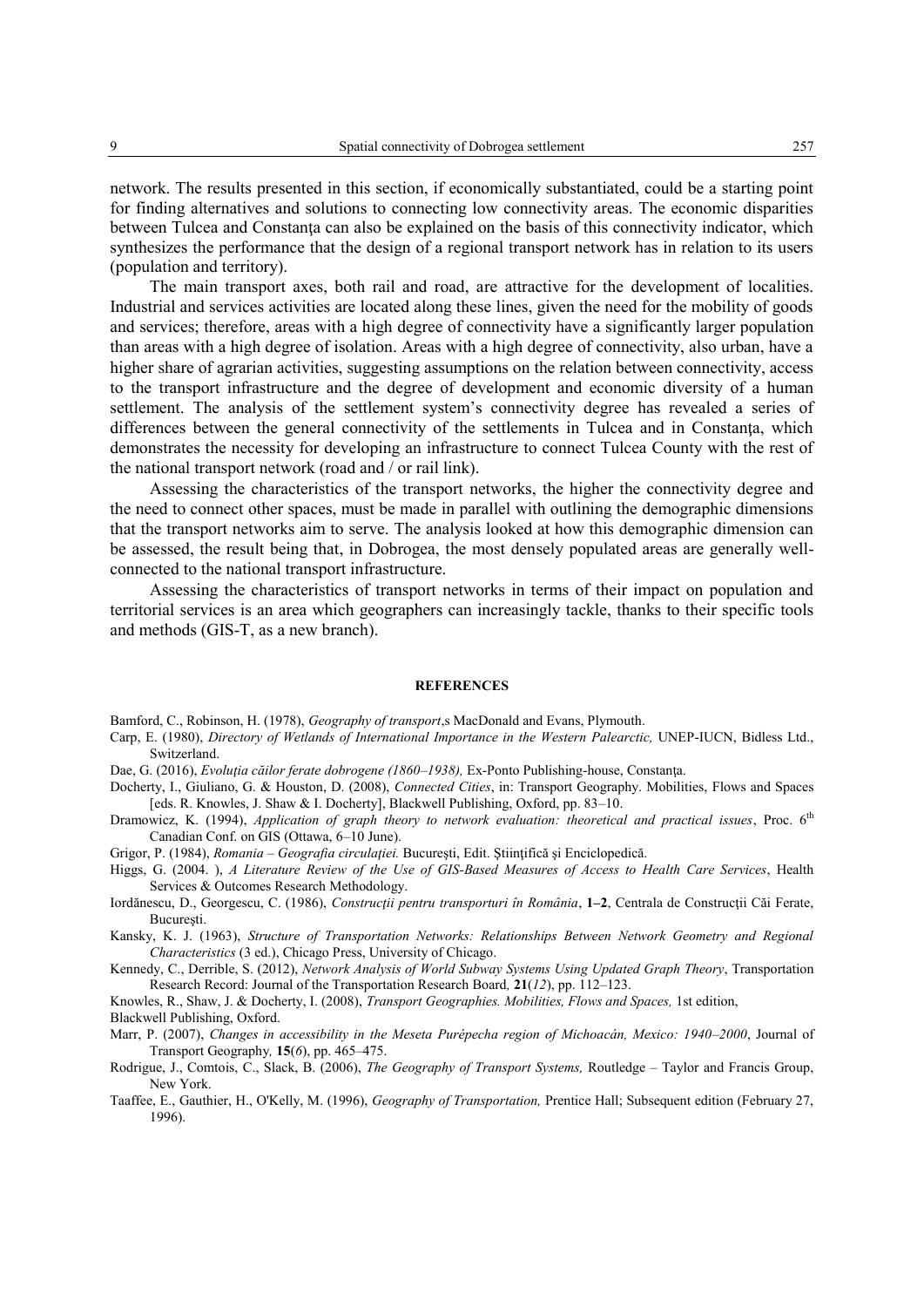network. The results presented in this section, if economically substantiated, could be a starting point for finding alternatives and solutions to connecting low connectivity areas. The economic disparities between Tulcea and Constanţa can also be explained on the basis of this connectivity indicator, which synthesizes the performance that the design of a regional transport network has in relation to its users (population and territory).

The main transport axes, both rail and road, are attractive for the development of localities. Industrial and services activities are located along these lines, given the need for the mobility of goods and services; therefore, areas with a high degree of connectivity have a significantly larger population than areas with a high degree of isolation. Areas with a high degree of connectivity, also urban, have a higher share of agrarian activities, suggesting assumptions on the relation between connectivity, access to the transport infrastructure and the degree of development and economic diversity of a human settlement. The analysis of the settlement system's connectivity degree has revealed a series of differences between the general connectivity of the settlements in Tulcea and in Constanta, which demonstrates the necessity for developing an infrastructure to connect Tulcea County with the rest of the national transport network (road and / or rail link).

Assessing the characteristics of the transport networks, the higher the connectivity degree and the need to connect other spaces, must be made in parallel with outlining the demographic dimensions that the transport networks aim to serve. The analysis looked at how this demographic dimension can be assessed, the result being that, in Dobrogea, the most densely populated areas are generally wellconnected to the national transport infrastructure.

Assessing the characteristics of transport networks in terms of their impact on population and territorial services is an area which geographers can increasingly tackle, thanks to their specific tools and methods (GIS-T, as a new branch).

#### **REFERENCES**

Bamford, C., Robinson, H. (1978), *Geography of transport*,s MacDonald and Evans, Plymouth.

Carp, E. (1980), *Directory of Wetlands of International Importance in the Western Palearctic,* UNEP-IUCN, Bidless Ltd., Switzerland.

Dae, G. (2016), *Evoluţia căilor ferate dobrogene (1860–1938),* Ex-Ponto Publishing-house, Constanţa.

- Docherty, I., Giuliano, G. & Houston, D. (2008), *Connected Cities*, in: Transport Geography. Mobilities, Flows and Spaces [eds. R. Knowles, J. Shaw & I. Docherty], Blackwell Publishing, Oxford, pp. 83–10.
- Dramowicz, K. (1994), *Application of graph theory to network evaluation: theoretical and practical issues*, Proc. 6<sup>th</sup> Canadian Conf. on GIS (Ottawa, 6–10 June).
- Grigor, P. (1984), *Romania – Geografia circulaţiei.* Bucureşti, Edit. Ştiinţifică şi Enciclopedică.
- Higgs, G. (2004. ), *A Literature Review of the Use of GIS-Based Measures of Access to Health Care Services*, Health Services & Outcomes Research Methodology.
- Iordănescu, D., Georgescu, C. (1986), *Construcţii pentru transporturi în România*, **1–2**, Centrala de Construcţii Căi Ferate, Bucureşti.
- Kansky, K. J. (1963), *Structure of Transportation Networks: Relationships Between Network Geometry and Regional Characteristics* (3 ed.), Chicago Press, University of Chicago.
- Kennedy, C., Derrible, S. (2012), *Network Analysis of World Subway Systems Using Updated Graph Theory*, Transportation Research Record: Journal of the Transportation Research Board*,* **21**(*12*), pp. 112–123.

Knowles, R., Shaw, J. & Docherty, I. (2008), *Transport Geographies. Mobilities, Flows and Spaces,* 1st edition, Blackwell Publishing, Oxford.

Marr, P. (2007), *Changes in accessibility in the Meseta Purépecha region of Michoacán, Mexico: 1940–2000*, Journal of Transport Geography*,* **15**(*6*), pp. 465–475.

- Rodrigue, J., Comtois, C., Slack, B. (2006), *The Geography of Transport Systems,* Routledge Taylor and Francis Group, New York.
- Taaffee, E., Gauthier, H., O'Kelly, M. (1996), *Geography of Transportation,* Prentice Hall; Subsequent edition (February 27, 1996).